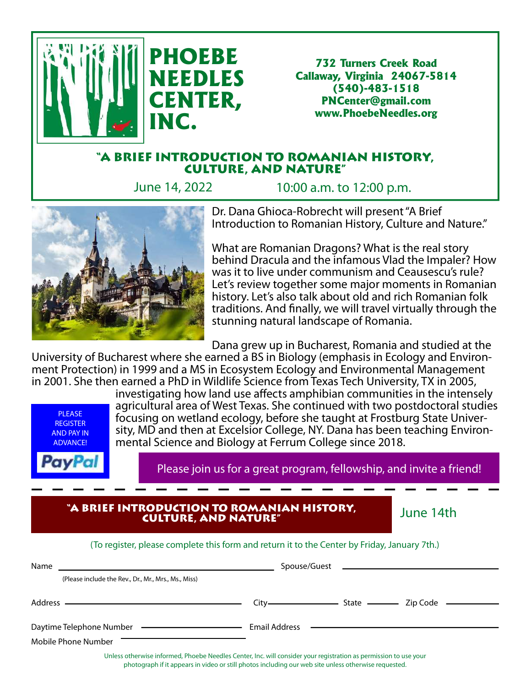

732 Turners Creek Road Callaway, Virginia 24067-5814 (540)-483-1518 PNCenter@gmail.com www.PhoebeNeedles.org

## "A BRIEF INTRODUCTION TO ROMANIAN HISTORY, CULTURE, AND NATURE"

June 14, 2022 10:00 a.m. to 12:00 p.m.



Dr. Dana Ghioca-Robrecht will present "A Brief Introduction to Romanian History, Culture and Nature."

What are Romanian Dragons? What is the real story behind Dracula and the infamous Vlad the Impaler? How was it to live under communism and Ceausescu's rule? Let's review together some major moments in Romanian history. Let's also talk about old and rich Romanian folk traditions. And finally, we will travel virtually through the stunning natural landscape of Romania.

Dana grew up in Bucharest, Romania and studied at the

University of Bucharest where she earned a BS in Biology (emphasis in Ecology and Environment Protection) in 1999 and a MS in Ecosystem Ecology and Environmental Management in 2001. She then earned a PhD in Wildlife Science from Texas Tech University, TX in 2005,



investigating how land use affects amphibian communities in the intensely agricultural area of West Texas. She continued with two postdoctoral studies focusing on wetland ecology, before she taught at Frostburg State University, MD and then at Excelsior College, NY. Dana has been teaching Environmental Science and Biology at Ferrum College since 2018.

Please join us for a great program, fellowship, and invite a friend!

## "A BRIEF INTRODUCTION TO ROMANIAN HISTORY, CULTURE, AND NATURE"

June 14th

## (To register, please complete this form and return it to the Center by Friday, January 7th.)

| Name                                                                 |                                    |
|----------------------------------------------------------------------|------------------------------------|
| (Please include the Rev., Dr., Mr., Mrs., Ms., Miss)                 |                                    |
|                                                                      |                                    |
| Daytime Telephone Number ————————————————————<br>Mobile Phone Number | Email Address ———————————————————— |

Unless otherwise informed, Phoebe Needles Center, Inc. will consider your registration as permission to use your photograph if it appears in video or still photos including our web site unless otherwise requested.